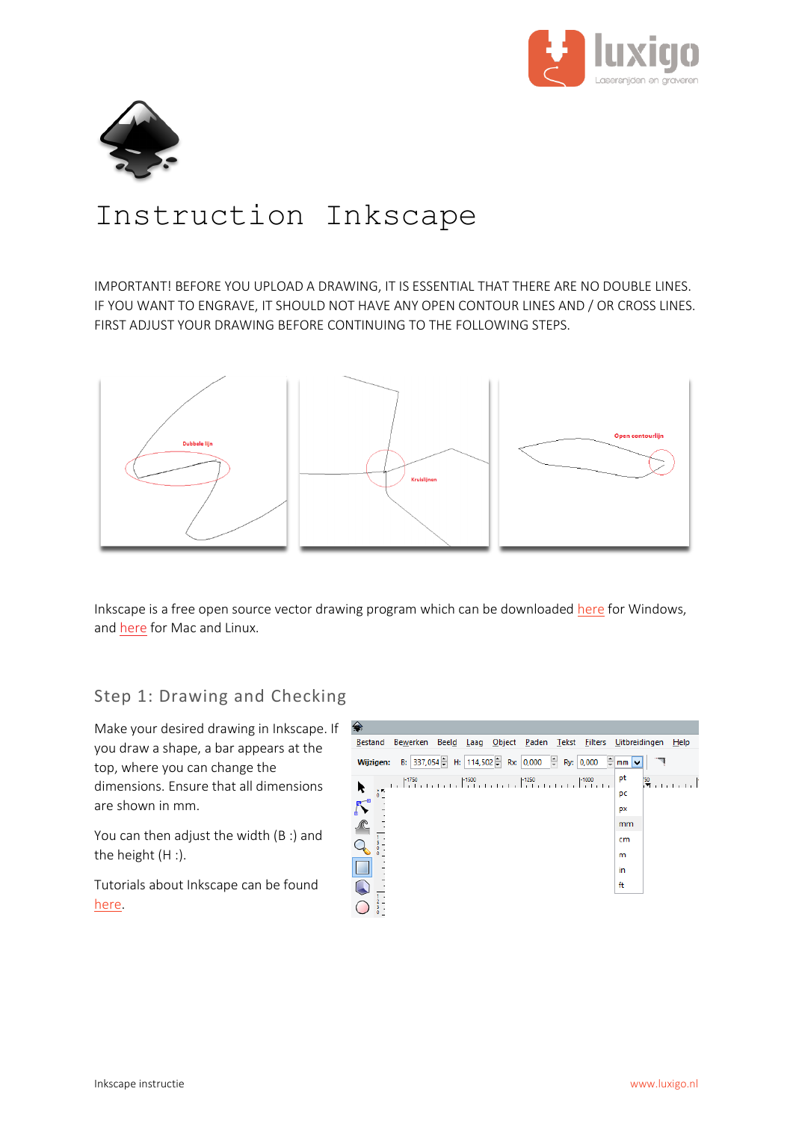



# Instruction Inkscape

IMPORTANT! BEFORE YOU UPLOAD A DRAWING, IT IS ESSENTIAL THAT THERE ARE NO DOUBLE LINES. IF YOU WANT TO ENGRAVE, IT SHOULD NOT HAVE ANY OPEN CONTOUR LINES AND / OR CROSS LINES. FIRST ADJUST YOUR DRAWING BEFORE CONTINUING TO THE FOLLOWING STEPS.



Inkscape is a free open source vector drawing program which can be downloade[d here](https://www.luxigo.nl/Software/Inkscape%20-%20Luxigo.zip) for Windows, and [here](https://inkscape.org/) for Mac and Linux.

## Step 1: Drawing and Checking

Make your desired drawing in Inkscape. If you draw a shape, a bar appears at the top, where you can change the dimensions. Ensure that all dimensions are shown in mm.

You can then adjust the width (B :) and the height (H :).

Tutorials about Inkscape can be found [here.](http://www.inkscape.org/en/learn/tutorials/)

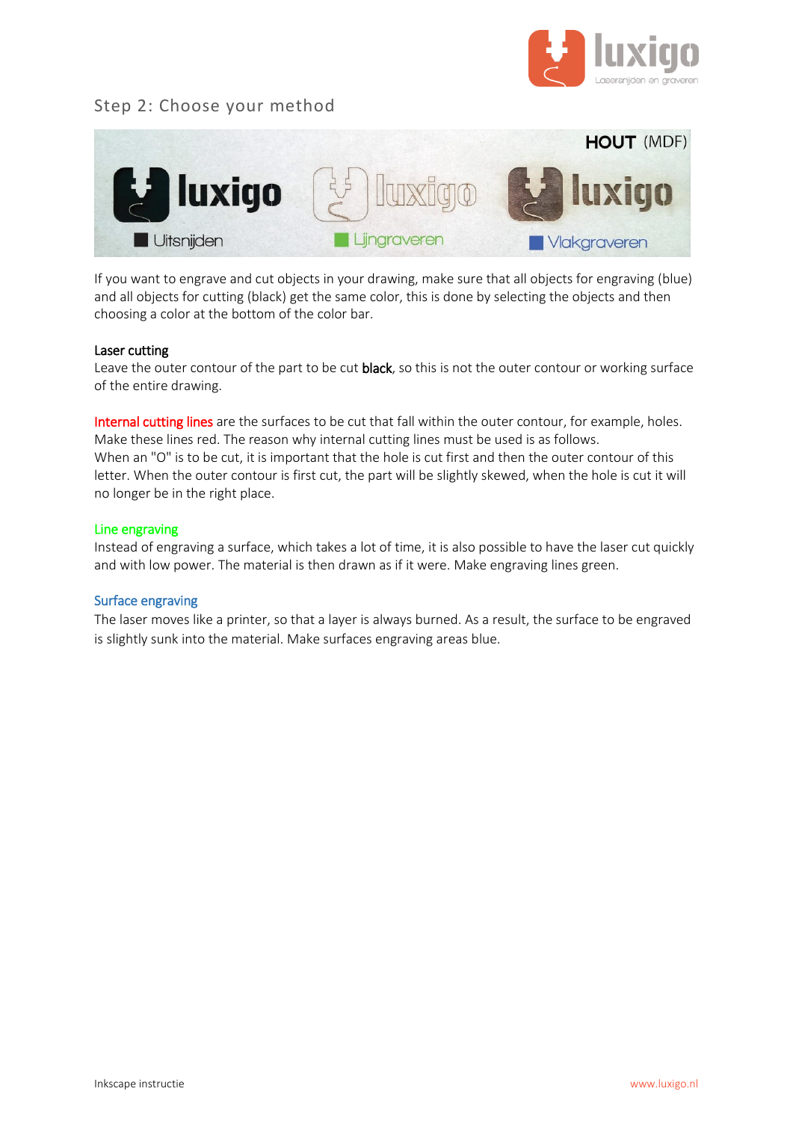

## Step 2: Choose your method



If you want to engrave and cut objects in your drawing, make sure that all objects for engraving (blue) and all objects for cutting (black) get the same color, this is done by selecting the objects and then choosing a color at the bottom of the color bar.

#### Laser cutting

Leave the outer contour of the part to be cut black, so this is not the outer contour or working surface of the entire drawing.

Internal cutting lines are the surfaces to be cut that fall within the outer contour, for example, holes. Make these lines red. The reason why internal cutting lines must be used is as follows. When an "O" is to be cut, it is important that the hole is cut first and then the outer contour of this letter. When the outer contour is first cut, the part will be slightly skewed, when the hole is cut it will no longer be in the right place.

#### Line engraving

Instead of engraving a surface, which takes a lot of time, it is also possible to have the laser cut quickly and with low power. The material is then drawn as if it were. Make engraving lines green.

#### Surface engraving

The laser moves like a printer, so that a layer is always burned. As a result, the surface to be engraved is slightly sunk into the material. Make surfaces engraving areas blue.